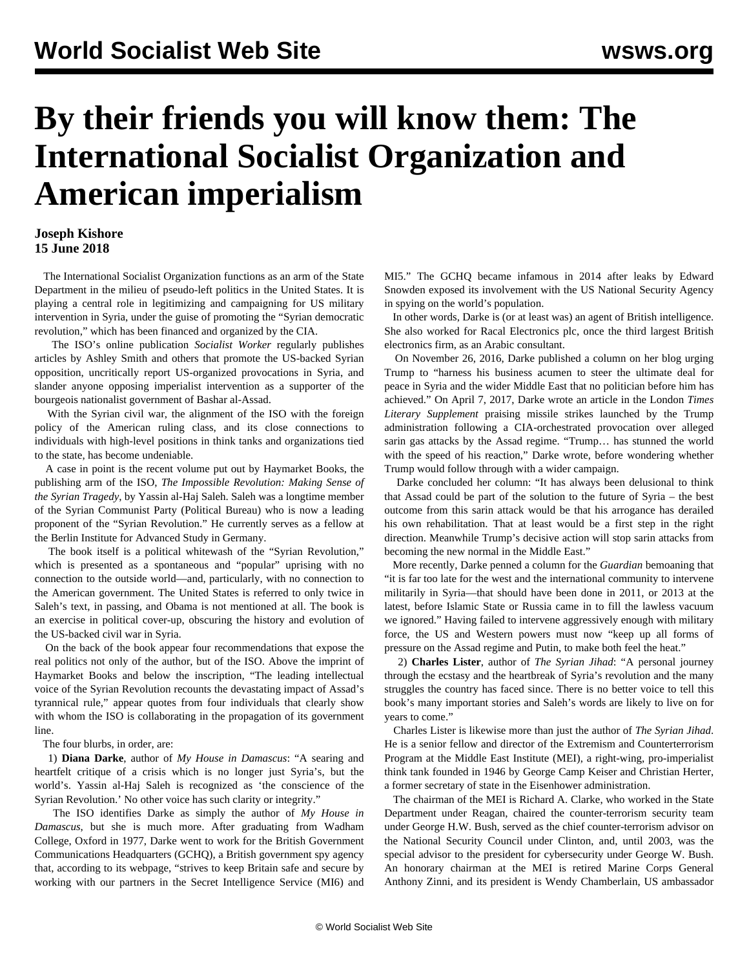## **By their friends you will know them: The International Socialist Organization and American imperialism**

## **Joseph Kishore 15 June 2018**

 The International Socialist Organization functions as an arm of the State Department in the milieu of pseudo-left politics in the United States. It is playing a central role in legitimizing and campaigning for US military intervention in Syria, under the guise of promoting the "Syrian democratic revolution," which has been financed and organized by the CIA.

 The ISO's online publication *Socialist Worker* regularly publishes articles by Ashley Smith and others that promote the US-backed Syrian opposition, uncritically report US-organized provocations in Syria, and slander anyone opposing imperialist intervention as a supporter of the bourgeois nationalist government of Bashar al-Assad.

 With the Syrian civil war, the alignment of the ISO with the foreign policy of the American ruling class, and its close connections to individuals with high-level positions in think tanks and organizations tied to the state, has become undeniable.

 A case in point is the recent volume put out by Haymarket Books, the publishing arm of the ISO, *The Impossible Revolution: Making Sense of the Syrian Tragedy*, by Yassin al-Haj Saleh. Saleh was a longtime member of the Syrian Communist Party (Political Bureau) who is now a leading proponent of the "Syrian Revolution." He currently serves as a fellow at the Berlin Institute for Advanced Study in Germany.

 The book itself is a political whitewash of the "Syrian Revolution," which is presented as a spontaneous and "popular" uprising with no connection to the outside world—and, particularly, with no connection to the American government. The United States is referred to only twice in Saleh's text, in passing, and Obama is not mentioned at all. The book is an exercise in political cover-up, obscuring the history and evolution of the US-backed civil war in Syria.

 On the back of the book appear four recommendations that expose the real politics not only of the author, but of the ISO. Above the imprint of Haymarket Books and below the inscription, "The leading intellectual voice of the Syrian Revolution recounts the devastating impact of Assad's tyrannical rule," appear quotes from four individuals that clearly show with whom the ISO is collaborating in the propagation of its government line.

## The four blurbs, in order, are:

 1) **Diana Darke**, author of *My House in Damascus*: "A searing and heartfelt critique of a crisis which is no longer just Syria's, but the world's. Yassin al-Haj Saleh is recognized as 'the conscience of the Syrian Revolution.' No other voice has such clarity or integrity."

 The ISO identifies Darke as simply the author of *My House in Damascus*, but she is much more. After graduating from Wadham College, Oxford in 1977, Darke went to work for the British Government Communications Headquarters (GCHQ), a British government spy agency that, according to its webpage, "strives to keep Britain safe and secure by working with our partners in the Secret Intelligence Service (MI6) and MI5." The GCHQ became infamous in 2014 after leaks by Edward Snowden exposed its involvement with the US National Security Agency in spying on the world's population.

 In other words, Darke is (or at least was) an agent of British intelligence. She also worked for Racal Electronics plc, once the third largest British electronics firm, as an Arabic consultant.

 On November 26, 2016, Darke published a [column](https://dianadarke.com/2016/11/26/advice-to-donald-trump-do-marshall-plan-style-deals-in-the-middle-east/comment-page-1/) on her blog urging Trump to "harness his business acumen to steer the ultimate deal for peace in Syria and the wider Middle East that no politician before him has achieved." On April 7, 2017, Darke wrote an [article](https://www.the-tls.co.uk/articles/public/sarin-attack-trump-assad/) in the London *Times Literary Supplement* praising missile strikes launched by the Trump administration following a CIA-orchestrated provocation over alleged sarin gas attacks by the Assad regime. "Trump… has stunned the world with the speed of his reaction," Darke wrote, before wondering whether Trump would follow through with a wider campaign.

 Darke concluded her column: "It has always been delusional to think that Assad could be part of the solution to the future of Syria – the best outcome from this sarin attack would be that his arrogance has derailed his own rehabilitation. That at least would be a first step in the right direction. Meanwhile Trump's decisive action will stop sarin attacks from becoming the new normal in the Middle East."

 More recently, Darke penned a [column](https://www.theguardian.com/commentisfree/2018/may/01/syria-rebuke-western-inaction-military-intervention-assad) for the *Guardian* bemoaning that "it is far too late for the west and the international community to intervene militarily in Syria—that should have been done in 2011, or 2013 at the latest, before Islamic State or Russia came in to fill the lawless vacuum we ignored." Having failed to intervene aggressively enough with military force, the US and Western powers must now "keep up all forms of pressure on the Assad regime and Putin, to make both feel the heat."

 2) **Charles Lister**, author of *The Syrian Jihad*: "A personal journey through the ecstasy and the heartbreak of Syria's revolution and the many struggles the country has faced since. There is no better voice to tell this book's many important stories and Saleh's words are likely to live on for years to come."

 Charles Lister is likewise more than just the author of *The Syrian Jihad*. He is a senior fellow and director of the Extremism and Counterterrorism Program at the Middle East Institute (MEI), a right-wing, pro-imperialist think tank founded in 1946 by George Camp Keiser and Christian Herter, a former secretary of state in the Eisenhower administration.

 The chairman of the MEI is Richard A. Clarke, who worked in the State Department under Reagan, chaired the counter-terrorism security team under George H.W. Bush, served as the chief counter-terrorism advisor on the National Security Council under Clinton, and, until 2003, was the special advisor to the president for cybersecurity under George W. Bush. An honorary chairman at the MEI is retired Marine Corps General Anthony Zinni, and its president is Wendy Chamberlain, US ambassador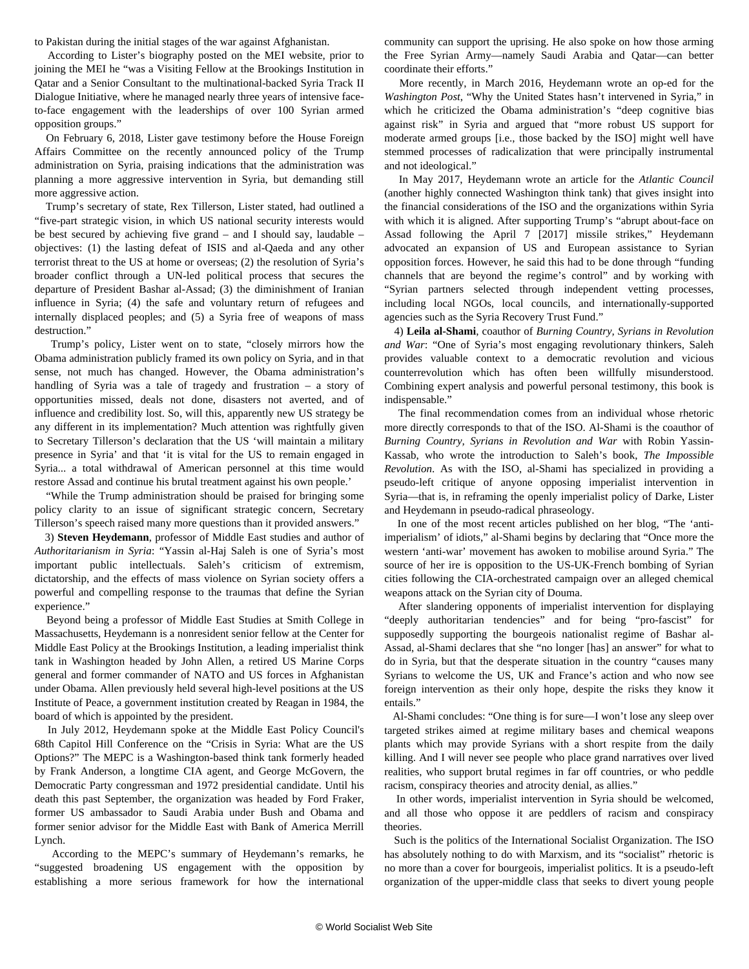to Pakistan during the initial stages of the war against Afghanistan.

 According to Lister's [biography](http://www.mei.edu/profile/charles-lister) posted on the MEI website, prior to joining the MEI he "was a Visiting Fellow at the Brookings Institution in Qatar and a Senior Consultant to the multinational-backed Syria Track II Dialogue Initiative, where he managed nearly three years of intensive faceto-face engagement with the leaderships of over 100 Syrian armed opposition groups."

 On February 6, 2018, Lister [gave testimony](http://www.mei.edu/content/article/syria-which-way-forward-testimony-charles-lister) before the House Foreign Affairs Committee on the recently announced policy of the Trump administration on Syria, praising indications that the administration was planning a more aggressive intervention in Syria, but demanding still more aggressive action.

 Trump's secretary of state, Rex Tillerson, Lister stated, had outlined a "five-part strategic vision, in which US national security interests would be best secured by achieving five grand – and I should say, laudable – objectives: (1) the lasting defeat of ISIS and al-Qaeda and any other terrorist threat to the US at home or overseas; (2) the resolution of Syria's broader conflict through a UN-led political process that secures the departure of President Bashar al-Assad; (3) the diminishment of Iranian influence in Syria; (4) the safe and voluntary return of refugees and internally displaced peoples; and (5) a Syria free of weapons of mass destruction."

 Trump's policy, Lister went on to state, "closely mirrors how the Obama administration publicly framed its own policy on Syria, and in that sense, not much has changed. However, the Obama administration's handling of Syria was a tale of tragedy and frustration – a story of opportunities missed, deals not done, disasters not averted, and of influence and credibility lost. So, will this, apparently new US strategy be any different in its implementation? Much attention was rightfully given to Secretary Tillerson's declaration that the US 'will maintain a military presence in Syria' and that 'it is vital for the US to remain engaged in Syria... a total withdrawal of American personnel at this time would restore Assad and continue his brutal treatment against his own people.'

 "While the Trump administration should be praised for bringing some policy clarity to an issue of significant strategic concern, Secretary Tillerson's speech raised many more questions than it provided answers."

 3) **Steven Heydemann**, professor of Middle East studies and author of *Authoritarianism in Syria*: "Yassin al-Haj Saleh is one of Syria's most important public intellectuals. Saleh's criticism of extremism, dictatorship, and the effects of mass violence on Syrian society offers a powerful and compelling response to the traumas that define the Syrian experience."

 Beyond being a professor of Middle East Studies at Smith College in Massachusetts, Heydemann is a nonresident senior fellow at the Center for Middle East Policy at the Brookings Institution, a leading imperialist think tank in Washington headed by John Allen, a retired US Marine Corps general and former commander of NATO and US forces in Afghanistan under Obama. Allen previously held several high-level positions at the US Institute of Peace, a government institution created by Reagan in 1984, the board of which is appointed by the president.

 In July 2012, Heydemann spoke at the Middle East Policy Council's 68th Capitol Hill Conference on the "Crisis in Syria: What are the US Options?" The MEPC is a Washington-based think tank formerly headed by Frank Anderson, a longtime CIA agent, and George McGovern, the Democratic Party congressman and 1972 presidential candidate. Until his death this past September, the organization was headed by Ford Fraker, former US ambassador to Saudi Arabia under Bush and Obama and former senior advisor for the Middle East with Bank of America Merrill Lynch.

 According to the MEPC's summary of Heydemann's [remarks](http://mepc.org/commentary/steven-heydemann-crisis-syria), he "suggested broadening US engagement with the opposition by establishing a more serious framework for how the international community can support the uprising. He also spoke on how those arming the Free Syrian Army—namely Saudi Arabia and Qatar—can better coordinate their efforts."

 More recently, in March 2016, Heydemann wrote an op-ed for the *Washington Post*, "[Why the United States hasn't intervened in Syria](https://www.washingtonpost.com/news/monkey-cage/wp/2016/03/14/why-the-united-states-hasnt-intervened-in-syria/?noredirect=on&utm_term=.8ccd44779be5)," in which he criticized the Obama administration's "deep cognitive bias against risk" in Syria and argued that "more robust US support for moderate armed groups [i.e., those backed by the ISO] might well have stemmed processes of radicalization that were principally instrumental and not ideological."

 In May 2017, Heydemann wrote an [article](http://www.atlanticcouncil.org/blogs/syriasource/syria-reconstruction-and-the-illusion-of-leverage) for the *Atlantic Council* (another highly connected Washington think tank) that gives insight into the financial considerations of the ISO and the organizations within Syria with which it is aligned. After supporting Trump's "abrupt about-face on Assad following the April 7 [2017] missile strikes," Heydemann advocated an expansion of US and European assistance to Syrian opposition forces. However, he said this had to be done through "funding channels that are beyond the regime's control" and by working with "Syrian partners selected through independent vetting processes, including local NGOs, local councils, and internationally-supported agencies such as the Syria Recovery Trust Fund."

 4) **Leila al-Shami**, coauthor of *Burning Country, Syrians in Revolution and War*: "One of Syria's most engaging revolutionary thinkers, Saleh provides valuable context to a democratic revolution and vicious counterrevolution which has often been willfully misunderstood. Combining expert analysis and powerful personal testimony, this book is indispensable."

 The final recommendation comes from an individual whose rhetoric more directly corresponds to that of the ISO. Al-Shami is the coauthor of *Burning Country, Syrians in Revolution and War* with Robin Yassin-Kassab, who wrote the introduction to Saleh's book, *The Impossible Revolution*. As with the ISO, al-Shami has specialized in providing a pseudo-left critique of anyone opposing imperialist intervention in Syria—that is, in reframing the openly imperialist policy of Darke, Lister and Heydemann in pseudo-radical phraseology.

 In one of the most recent articles published on her blog, "[The 'anti](https://leilashami.wordpress.com/2018/04/14/the-anti-imperialism-of-idiots/)[imperialism' of idiots,](https://leilashami.wordpress.com/2018/04/14/the-anti-imperialism-of-idiots/)" al-Shami begins by declaring that "Once more the western 'anti-war' movement has awoken to mobilise around Syria." The source of her ire is opposition to the US-UK-French bombing of Syrian cities following the CIA-orchestrated campaign over an alleged chemical weapons attack on the Syrian city of Douma.

 After slandering opponents of imperialist intervention for displaying "deeply authoritarian tendencies" and for being "pro-fascist" for supposedly supporting the bourgeois nationalist regime of Bashar al-Assad, al-Shami declares that she "no longer [has] an answer" for what to do in Syria, but that the desperate situation in the country "causes many Syrians to welcome the US, UK and France's action and who now see foreign intervention as their only hope, despite the risks they know it entails."

 Al-Shami concludes: "One thing is for sure—I won't lose any sleep over targeted strikes aimed at regime military bases and chemical weapons plants which may provide Syrians with a short respite from the daily killing. And I will never see people who place grand narratives over lived realities, who support brutal regimes in far off countries, or who peddle racism, conspiracy theories and atrocity denial, as allies."

 In other words, imperialist intervention in Syria should be welcomed, and all those who oppose it are peddlers of racism and conspiracy theories.

 Such is the politics of the International Socialist Organization. The ISO has absolutely nothing to do with Marxism, and its "socialist" rhetoric is no more than a cover for bourgeois, imperialist politics. It is a pseudo-left organization of the upper-middle class that seeks to divert young people